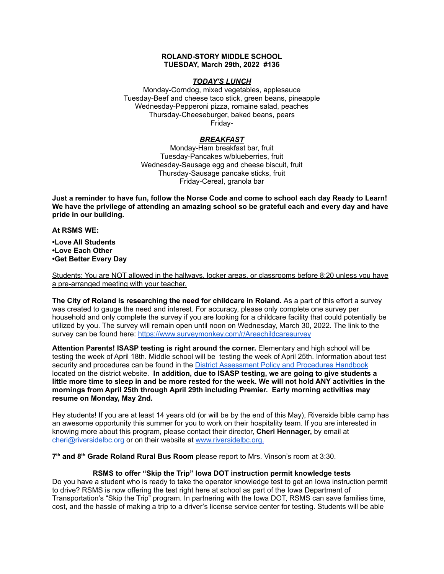### **ROLAND-STORY MIDDLE SCHOOL TUESDAY, March 29th, 2022 #136**

# *TODAY'S LUNCH*

Monday-Corndog, mixed vegetables, applesauce Tuesday-Beef and cheese taco stick, green beans, pineapple Wednesday-Pepperoni pizza, romaine salad, peaches Thursday-Cheeseburger, baked beans, pears Friday-

# *BREAKFAST*

Monday-Ham breakfast bar, fruit Tuesday-Pancakes w/blueberries, fruit Wednesday-Sausage egg and cheese biscuit, fruit Thursday-Sausage pancake sticks, fruit Friday-Cereal, granola bar

Just a reminder to have fun, follow the Norse Code and come to school each day Ready to Learn! **We have the privilege of attending an amazing school so be grateful each and every day and have pride in our building.**

#### **At RSMS WE:**

**•Love All Students •Love Each Other •Get Better Every Day**

Students: You are NOT allowed in the hallways, locker areas, or classrooms before 8:20 unless you have a pre-arranged meeting with your teacher.

**The City of Roland is researching the need for childcare in Roland.** As a part of this effort a survey was created to gauge the need and interest. For accuracy, please only complete one survey per household and only complete the survey if you are looking for a childcare facility that could potentially be utilized by you. The survey will remain open until noon on Wednesday, March 30, 2022. The link to the survey can be found here: <https://www.surveymonkey.com/r/Areachildcaresurvey>

**Attention Parents! ISASP testing is right around the corner.** Elementary and high school will be testing the week of April 18th. Middle school will be testing the week of April 25th. Information about test security and procedures can be found in the District [Assessment](https://rolandstory.school/media/Michelle%20Soderstrum/RSCSD_District_Assessment_Poli%20-%20Copy%203.pdf) Policy and Procedures Handbook located on the district website. **In addition, due to ISASP testing, we are going to give students a** little more time to sleep in and be more rested for the week. We will not hold ANY activities in the **mornings from April 25th through April 29th including Premier. Early morning activities may resume on Monday, May 2nd.**

Hey students! If you are at least 14 years old (or will be by the end of this May), Riverside bible camp has an awesome opportunity this summer for you to work on their hospitality team. If you are interested in knowing more about this program, please contact their director, **Cheri Hennager,** by email at cheri@riversidelbc.org or on their website at [www.riversidelbc.org.](http://www.riversidelbc.org/)

**7 th and 8 th Grade Roland Rural Bus Room** please report to Mrs. Vinson's room at 3:30.

#### **RSMS to offer "Skip the Trip" Iowa DOT instruction permit knowledge tests**

Do you have a student who is ready to take the operator knowledge test to get an Iowa instruction permit to drive? RSMS is now offering the test right here at school as part of the Iowa Department of Transportation's "Skip the Trip" program. In partnering with the Iowa DOT, RSMS can save families time, cost, and the hassle of making a trip to a driver's license service center for testing. Students will be able